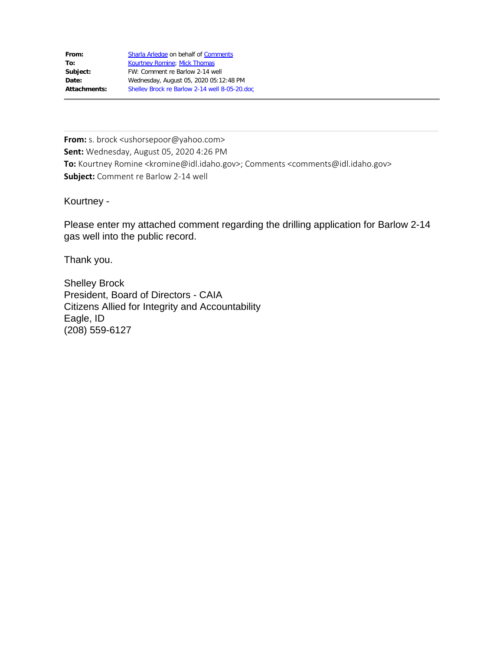| From:        | Sharla Arledge on behalf of Comments          |
|--------------|-----------------------------------------------|
| To:          | <b>Kourtney Romine; Mick Thomas</b>           |
| Subject:     | FW: Comment re Barlow 2-14 well               |
| Date:        | Wednesday, August 05, 2020 05:12:48 PM        |
| Attachments: | Shelley Brock re Barlow 2-14 well 8-05-20.doc |

**From:** s. brock <ushorsepoor@yahoo.com> **Sent:** Wednesday, August 05, 2020 4:26 PM **To:** Kourtney Romine <kromine@idl.idaho.gov>; Comments <comments@idl.idaho.gov> **Subject:** Comment re Barlow 2-14 well

Kourtney -

Please enter my attached comment regarding the drilling application for Barlow 2-14 gas well into the public record.

Thank you.

Shelley Brock President, Board of Directors - CAIA Citizens Allied for Integrity and Accountability Eagle, ID (208) 559-6127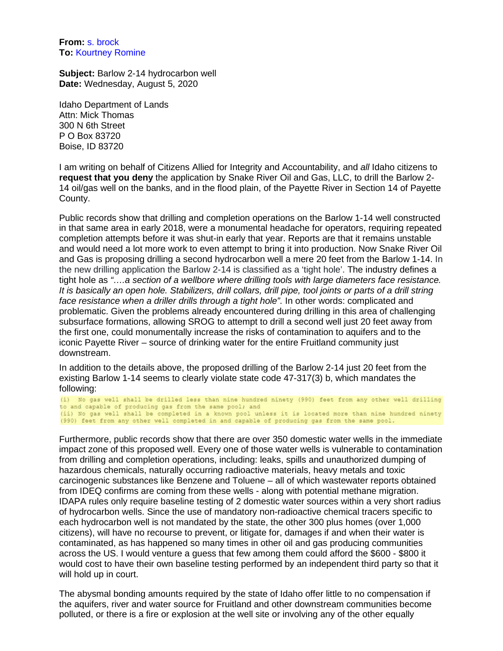**From:** s. brock **To:** Kourtney Romine

**Subject:** Barlow 2-14 hydrocarbon well **Date:** Wednesday, August 5, 2020

Idaho Department of Lands Attn: Mick Thomas 300 N 6th Street P O Box 83720 Boise, ID 83720

I am writing on behalf of Citizens Allied for Integrity and Accountability, and *all* Idaho citizens to **request that you deny** the application by Snake River Oil and Gas, LLC, to drill the Barlow 2- 14 oil/gas well on the banks, and in the flood plain, of the Payette River in Section 14 of Payette County.

Public records show that drilling and completion operations on the Barlow 1-14 well constructed in that same area in early 2018, were a monumental headache for operators, requiring repeated completion attempts before it was shut-in early that year. Reports are that it remains unstable and would need a lot more work to even attempt to bring it into production. Now Snake River Oil and Gas is proposing drilling a second hydrocarbon well a mere 20 feet from the Barlow 1-14. In the new drilling application the Barlow 2-14 is classified as a 'tight hole'. The industry defines a tight hole as *"….a section of a wellbore where drilling tools with large diameters face resistance. It is basically an open hole. Stabilizers, drill collars, drill pipe, tool joints or parts of a drill string face resistance when a driller drills through a tight hole".* In other words: complicated and problematic. Given the problems already encountered during drilling in this area of challenging subsurface formations, allowing SROG to attempt to drill a second well just 20 feet away from the first one, could monumentally increase the risks of contamination to aquifers and to the iconic Payette River – source of drinking water for the entire Fruitland community just downstream.

In addition to the details above, the proposed drilling of the Barlow 2-14 just 20 feet from the existing Barlow 1-14 seems to clearly violate state code 47-317(3) b, which mandates the following:

(i) No gas well shall be drilled less than nine hundred ninety (990) feet from any other well drilling to and capable of producing gas from the same pool; and (ii) No gas well shall be completed in a known pool unless it is located more than nine hundred ninety (990) feet from any other well completed in and capable of producing gas from the same pool.

Furthermore, public records show that there are over 350 domestic water wells in the immediate impact zone of this proposed well. Every one of those water wells is vulnerable to contamination from drilling and completion operations, including: leaks, spills and unauthorized dumping of hazardous chemicals, naturally occurring radioactive materials, heavy metals and toxic carcinogenic substances like Benzene and Toluene – all of which wastewater reports obtained from IDEQ confirms are coming from these wells - along with potential methane migration. IDAPA rules only require baseline testing of 2 domestic water sources within a very short radius of hydrocarbon wells. Since the use of mandatory non-radioactive chemical tracers specific to each hydrocarbon well is not mandated by the state, the other 300 plus homes (over 1,000 citizens), will have no recourse to prevent, or litigate for, damages if and when their water is contaminated, as has happened so many times in other oil and gas producing communities across the US. I would venture a guess that few among them could afford the \$600 - \$800 it would cost to have their own baseline testing performed by an independent third party so that it will hold up in court.

The abysmal bonding amounts required by the state of Idaho offer little to no compensation if the aquifers, river and water source for Fruitland and other downstream communities become polluted, or there is a fire or explosion at the well site or involving any of the other equally